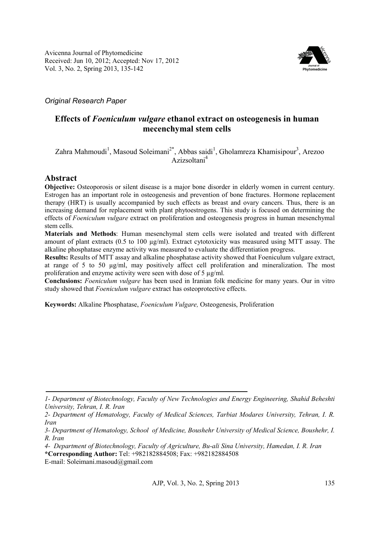Avicenna Journal of Phytomedicine Received: Jun 10, 2012; Accepted: Nov 17, 2012 Vol. 3, No. 2, Spring 2013, 135-142



*Original Research Paper* 

# **Effects of** *Foeniculum vulgare* **ethanol extract on osteogenesis in human mecenchymal stem cells**

## Zahra Mahmoudi<sup>1</sup>, Masoud Soleimani<sup>2\*</sup>, Abbas saidi<sup>1</sup>, Gholamreza Khamisipour<sup>3</sup>, Arezoo Azizsoltani<sup>4</sup>

## **Abstract**

**Objective:** Osteoporosis or silent disease is a major bone disorder in elderly women in current century. Estrogen has an important role in osteogenesis and prevention of bone fractures. Hormone replacement therapy (HRT) is usually accompanied by such effects as breast and ovary cancers. Thus, there is an increasing demand for replacement with plant phytoestrogens. This study is focused on determining the effects of *Foeniculum vulgare* extract on proliferation and osteogenesis progress in human mesenchymal stem cells.

**Materials and Methods**: Human mesenchymal stem cells were isolated and treated with different amount of plant extracts (0.5 to 100 µg/ml). Extract cytotoxicity was measured using MTT assay. The alkaline phosphatase enzyme activity was measured to evaluate the differentiation progress.

**Results:** Results of MTT assay and alkaline phosphatase activity showed that Foeniculum vulgare extract, at range of 5 to 50 µg/ml, may positively affect cell proliferation and mineralization. The most proliferation and enzyme activity were seen with dose of 5 µg/ml.

**Conclusions:** *Foeniculum vulgare* has been used in Iranian folk medicine for many years. Our in vitro study showed that *Foeniculum vulgare* extract has osteoprotective effects.

**Keywords:** Alkaline Phosphatase, *Foeniculum Vulgare,* Osteogenesis, Proliferation

*4- Department of Biotechnology, Faculty of Agriculture, Bu-ali Sina University, Hamedan, I. R. Iran*  **\*Corresponding Author:** Tel: +982182884508; Fax: +982182884508

E-mail: Soleimani.masoud@gmail.com

*<sup>1-</sup> Department of Biotechnology, Faculty of New Technologies and Energy Engineering, Shahid Beheshti University, Tehran, I. R. Iran* 

*<sup>2-</sup> Department of Hematology, Faculty of Medical Sciences, Tarbiat Modares University, Tehran, I. R. Iran* 

*<sup>3-</sup> Department of Hematology, School of Medicine, Boushehr University of Medical Science, Boushehr, I. R. Iran*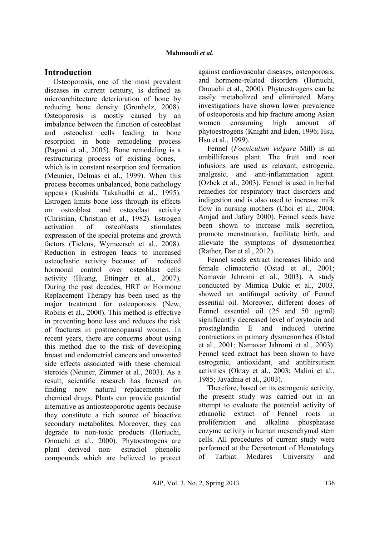### **Introduction**

Osteoporosis, one of the most prevalent diseases in current century, is defined as microarchitecture deterioration of bone by reducing bone density (Gronholz, 2008). Osteoporosis is mostly caused by an imbalance between the function of osteoblast and osteoclast cells leading to bone resorption in bone remodeling process (Pagani et al., 2005). Bone remodeling is a restructuring process of existing bones, which is in constant resorption and formation (Meunier, Delmas et al., 1999). When this process becomes unbalanced, bone pathology appears (Kushida Takahadhi et al., 1995). Estrogen limits bone loss through its effects on osteoblast and osteoclast activity (Christian, Christian et al., 1982). Estrogen activation of osteoblasts stimulates expression of the special proteins and growth factors (Tielens, Wymeersch et al., 2008). Reduction in estrogen leads to increased osteoclastic activity because of reduced hormonal control over osteoblast cells activity (Huang, Ettinger et al., 2007). During the past decades, HRT or Hormone Replacement Therapy has been used as the major treatment for osteoporosis (New, Robins et al., 2000). This method is effective in preventing bone loss and reduces the risk of fractures in postmenopausal women. In recent years, there are concerns about using this method due to the risk of developing breast and endometrial cancers and unwanted side effects associated with these chemical steroids (Neuner, Zimmer et al., 2003). As a result, scientific research has focused on finding new natural replacements for chemical drugs. Plants can provide potential alternative as antiosteoporotic agents because they constitute a rich source of bioactive secondary metabolites. Moreover, they can degrade to non-toxic products (Horiuchi, Onouchi et al., 2000). Phytoestrogens are plant derived non- estradiol phenolic compounds which are believed to protect

against cardiovascular diseases, osteoporosis, and hormone-related disorders (Horiuchi, Onouchi et al., 2000). Phytoestrogens can be easily metabolized and eliminated. Many investigations have shown lower prevalence of osteoporosis and hip fracture among Asian women consuming high amount of phytoestrogens (Knight and Eden, 1996; Hsu, Hsu et al., 1999).

Fennel (*Foeniculum vulgare* Mill) is an umbilliferous plant. The fruit and root infusions are used as relaxant, estrogenic, analgesic, and anti-inflammation agent. (Ozbek et al., 2003). Fennel is used in herbal remedies for respiratory tract disorders and indigestion and is also used to increase milk flow in nursing mothers (Choi et al., 2004; Amjad and Jafary 2000). Fennel seeds have been shown to increase milk secretion, promote menstruation, facilitate birth, and alleviate the symptoms of dysmenorrhea (Rather, Dar et al., 2012).

Fennel seeds extract increases libido and female climacteric (Ostad et al., 2001; Namavar Jahromi et al., 2003). A study conducted by Mimica Dukic et al., 2003, showed an antifungal activity of Fennel essential oil. Moreover, different doses of Fennel essential oil (25 and 50 µg/ml) significantly decreased level of oxytocin and prostaglandin E and induced uterine contractions in primary dysmenorrhea (Ostad et al., 2001; Namavar Jahromi et al., 2003). Fennel seed extract has been shown to have estrogenic, antioxidant, and antihirsutism activities (Oktay et al., 2003; Malini et al., 1985; Javadnia et al., 2003).

Therefore, based on its estrogenic activity, the present study was carried out in an attempt to evaluate the potential activity of ethanolic extract of Fennel roots in proliferation and alkaline phosphatase enzyme activity in human mesenchymal stem cells. All procedures of current study were performed at the Department of Hematology of Tarbiat Modares University and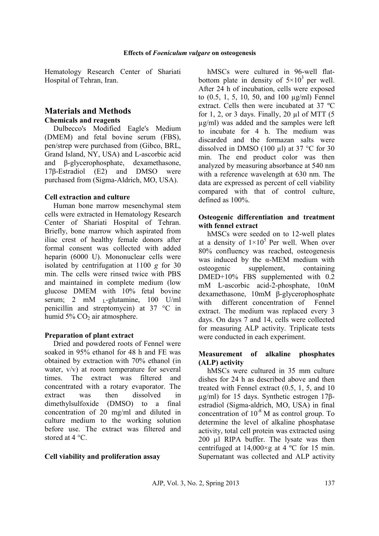Hematology Research Center of Shariati Hospital of Tehran, Iran.

#### **Materials and Methods Chemicals and reagents**

Dulbecco's Modified Eagle's Medium (DMEM) and fetal bovine serum (FBS), pen/strep were purchased from (Gibco, BRL, Grand Island, NY, USA) and L-ascorbic acid and β-glycerophosphate, dexamethasone, 17β-Estradiol (E2) and DMSO were purchased from (Sigma-Aldrich, MO, USA).

### **Cell extraction and culture**

Human bone marrow mesenchymal stem cells were extracted in Hematology Research Center of Shariati Hospital of Tehran. Briefly, bone marrow which aspirated from iliac crest of healthy female donors after formal consent was collected with added heparin (6000 U). Mononuclear cells were isolated by centrifugation at 1100 *g* for 30 min. The cells were rinsed twice with PBS and maintained in complete medium (low glucose DMEM with 10% fetal bovine serum; 2 mM <sub>L</sub>-glutamine, 100 U/ml penicillin and streptomycin) at 37 °C in humid 5%  $CO<sub>2</sub>$  air atmosphere.

### **Preparation of plant extract**

Dried and powdered roots of Fennel were soaked in 95% ethanol for 48 h and FE was obtained by extraction with 70% ethanol (in water, v/v) at room temperature for several times. The extract was filtered and concentrated with a rotary evaporator. The extract was then dissolved in dimethylsulfoxide (DMSO) to a final concentration of 20 mg/ml and diluted in culture medium to the working solution before use. The extract was filtered and stored at 4 °C.

### **Cell viability and proliferation assay**

hMSCs were cultured in 96-well flatbottom plate in density of  $5 \times 10^3$  per well. After 24 h of incubation, cells were exposed to (0.5, 1, 5, 10, 50, and 100 µg/ml) Fennel extract. Cells then were incubated at 37 ºC for 1, 2, or 3 days. Finally, 20  $\mu$ l of MTT (5 µg/ml) was added and the samples were left to incubate for 4 h. The medium was discarded and the formazan salts were dissolved in DMSO (100  $\mu$ l) at 37 °C for 30 min. The end product color was then analyzed by measuring absorbance at 540 nm with a reference wavelength at 630 nm. The data are expressed as percent of cell viability compared with that of control culture, defined as 100%.

#### **Osteogenic differentiation and treatment with fennel extract**

hMSCs were seeded on to 12-well plates at a density of  $1\times10^5$  Per well. When over 80% confluency was reached, osteogenesis was induced by the α-MEM medium with osteogenic supplement, containing DMED+10% FBS supplemented with 0.2 mM L-ascorbic acid-2-phosphate, 10nM dexamethasone, 10mM β-glycerophosphate with different concentration of Fennel extract. The medium was replaced every 3 days. On days 7 and 14, cells were collected for measuring ALP activity. Triplicate tests were conducted in each experiment.

#### **Measurement of alkaline phosphates (ALP) activity**

hMSCs were cultured in 35 mm culture dishes for 24 h as described above and then treated with Fennel extract (0.5, 1, 5, and 10 µg/ml) for 15 days. Synthetic estrogen 17βestradiol (Sigma-aldrich, MO, USA) in final concentration of  $10^{-8}$  M as control group. To determine the level of alkaline phosphatase activity, total cell protein was extracted using 200 µl RIPA buffer. The lysate was then centrifuged at  $14,000 \times g$  at 4 °C for 15 min. Supernatant was collected and ALP activity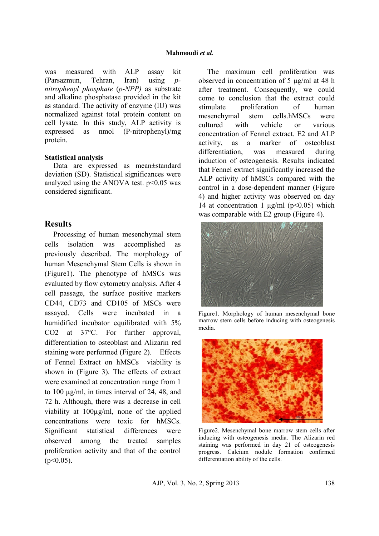was measured with ALP assay kit (Parsazmun, Tehran, Iran) using *pnitrophenyl phosphate* (*p-NPP)* as substrate and alkaline phosphatase provided in the kit as standard. The activity of enzyme (IU) was normalized against total protein content on cell lysate. In this study, ALP activity is expressed as nmol (P-nitrophenyl)/mg protein.

#### **Statistical analysis**

Data are expressed as mean±standard deviation (SD). Statistical significances were analyzed using the ANOVA test.  $p<0.05$  was considered significant.

#### **Results**

Processing of human mesenchymal stem cells isolation was accomplished as previously described. The morphology of human Mesenchymal Stem Cells is shown in (Figure1). The phenotype of hMSCs was evaluated by flow cytometry analysis. After 4 cell passage, the surface positive markers CD44, CD73 and CD105 of MSCs were assayed. Cells were incubated in a humidified incubator equilibrated with 5% CO2 at 37°C. For further approval, differentiation to osteoblast and Alizarin red staining were performed (Figure 2). Effects of Fennel Extract on hMSCs viability is shown in (Figure 3). The effects of extract were examined at concentration range from 1 to 100 µg/ml, in times interval of 24, 48, and 72 h. Although, there was a decrease in cell viability at 100µg/ml, none of the applied concentrations were toxic for hMSCs. Significant statistical differences were observed among the treated samples proliferation activity and that of the control  $(p<0.05)$ .

The maximum cell proliferation was observed in concentration of 5 µg/ml at 48 h after treatment. Consequently, we could come to conclusion that the extract could stimulate proliferation of human mesenchymal stem cells.hMSCs were cultured with vehicle or various concentration of Fennel extract. E2 and ALP activity, as a marker of osteoblast differentiation, was measured during induction of osteogenesis. Results indicated that Fennel extract significantly increased the ALP activity of hMSCs compared with the control in a dose-dependent manner (Figure 4) and higher activity was observed on day 14 at concentration 1  $\mu$ g/ml (p<0.05) which was comparable with E2 group (Figure 4).



Figure1. Morphology of human mesenchymal bone marrow stem cells before inducing with osteogenesis media.



Figure2. Mesenchymal bone marrow stem cells after inducing with osteogenesis media. The Alizarin red staining was performed in day 21 of osteogenesis progress. Calcium nodule formation confirmed differentiation ability of the cells.

AJP, Vol. 3, No. 2, Spring 2013 138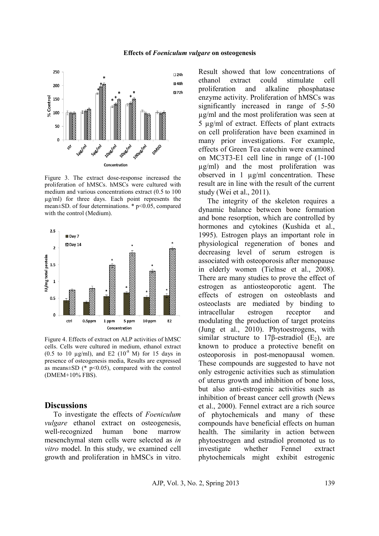

Figure 3. The extract dose-response increased the proliferation of hMSCs. hMSCs were cultured with medium and various concentrations extract (0.5 to 100 µg/ml) for three days. Each point represents the mean±SD. of four determinations. \* p<0.05, compared with the control (Medium).



Figure 4. Effects of extract on ALP activities of hMSC cells. Cells were cultured in medium, ethanol extract (0.5 to 10  $\mu$ g/ml), and E2 (10<sup>-8</sup> M) for 15 days in presence of osteogenesis media, Results are expressed as means $\pm$ SD (\* p<0.05), compared with the control (DMEM+10% FBS).

#### **Discussions**

To investigate the effects of *Foeniculum vulgare* ethanol extract on osteogenesis, well-recognized human bone marrow mesenchymal stem cells were selected as *in vitro* model. In this study, we examined cell growth and proliferation in hMSCs in vitro. Result showed that low concentrations of ethanol extract could stimulate cell proliferation and alkaline phosphatase enzyme activity. Proliferation of hMSCs was significantly increased in range of 5-50 µg/ml and the most proliferation was seen at 5 µg/ml of extract. Effects of plant extracts on cell proliferation have been examined in many prior investigations. For example, effects of Green Tea catechin were examined on MC3T3-E1 cell line in range of (1-100 µg/ml) and the most proliferation was observed in 1 µg/ml concentration. These result are in line with the result of the current study (Wei et al., 2011).

The integrity of the skeleton requires a dynamic balance between bone formation and bone resorption, which are controlled by hormones and cytokines (Kushida et al., 1995). Estrogen plays an important role in physiological regeneration of bones and decreasing level of serum estrogen is associated with osteoporosis after menopause in elderly women (Tielnse et al., 2008). There are many studies to prove the effect of estrogen as antiosteoporotic agent. The effects of estrogen on osteoblasts and osteoclasts are mediated by binding to intracellular estrogen receptor and modulating the production of target proteins (Jung et al., 2010). Phytoestrogens, with similar structure to 17β-estradiol  $(E_2)$ , are known to produce a protective benefit on osteoporosis in post-menopausal women. These compounds are suggested to have not only estrogenic activities such as stimulation of uterus growth and inhibition of bone loss, but also anti-estrogenic activities such as inhibition of breast cancer cell growth (News et al., 2000). Fennel extract are a rich source of phytochemicals and many of these compounds have beneficial effects on human health. The similarity in action between phytoestrogen and estradiol promoted us to investigate whether Fennel extract phytochemicals might exhibit estrogenic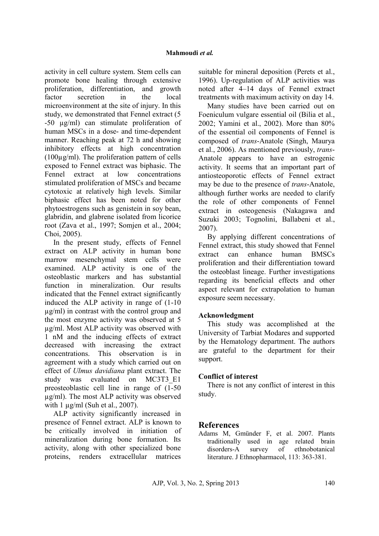activity in cell culture system. Stem cells can promote bone healing through extensive proliferation, differentiation, and growth factor secretion in the local microenvironment at the site of injury. In this study, we demonstrated that Fennel extract (5 -50 µg/ml) can stimulate proliferation of human MSCs in a dose- and time-dependent manner. Reaching peak at 72 h and showing inhibitory effects at high concentration (100µg/ml). The proliferation pattern of cells exposed to Fennel extract was biphasic. The Fennel extract at low concentrations stimulated proliferation of MSCs and became cytotoxic at relatively high levels. Similar biphasic effect has been noted for other phytoestrogens such as genistein in soy bean, glabridin, and glabrene isolated from licorice root (Zava et al., 1997; Somjen et al., 2004; Choi, 2005).

In the present study, effects of Fennel extract on ALP activity in human bone marrow mesenchymal stem cells were examined. ALP activity is one of the osteoblastic markers and has substantial function in mineralization. Our results indicated that the Fennel extract significantly induced the ALP activity in range of (1-10 µg/ml) in contrast with the control group and the most enzyme activity was observed at 5 µg/ml. Most ALP activity was observed with 1 nM and the inducing effects of extract decreased with increasing the extract concentrations. This observation is in agreement with a study which carried out on effect of *Ulmus davidiana* plant extract. The study was evaluated on MC3T3\_E1 preosteoblastic cell line in range of (1-50 µg/ml). The most ALP activity was observed with  $1 \mu g/ml$  (Suh et al., 2007).

ALP activity significantly increased in presence of Fennel extract. ALP is known to be critically involved in initiation of mineralization during bone formation. Its activity, along with other specialized bone proteins, renders extracellular matrices

suitable for mineral deposition (Perets et al., 1996). Up-regulation of ALP activities was noted after 4–14 days of Fennel extract treatments with maximum activity on day 14.

Many studies have been carried out on Foeniculum vulgare essential oil (Bilia et al., 2002; Yamini et al., 2002). More than 80% of the essential oil components of Fennel is composed of *trans*-Anatole (Singh, Maurya et al., 2006). As mentioned previously, *trans*-Anatole appears to have an estrogenic activity. It seems that an important part of antiosteoporotic effects of Fennel extract may be due to the presence of *trans*-Anatole, although further works are needed to clarify the role of other components of Fennel extract in osteogenesis (Nakagawa and Suzuki 2003; Tognolini, Ballabeni et al., 2007).

By applying different concentrations of Fennel extract, this study showed that Fennel extract can enhance human BMSCs proliferation and their differentiation toward the osteoblast lineage. Further investigations regarding its beneficial effects and other aspect relevant for extrapolation to human exposure seem necessary.

### **Acknowledgment**

This study was accomplished at the University of Tarbiat Modares and supported by the Hematology department. The authors are grateful to the department for their support.

### **Conflict of interest**

There is not any conflict of interest in this study.

### **References**

Adams M, Gmünder F, et al. 2007. Plants traditionally used in age related brain disorders-A survey of ethnobotanical literature. J Ethnopharmacol, 113: 363-381.

AJP, Vol. 3, No. 2, Spring 2013 140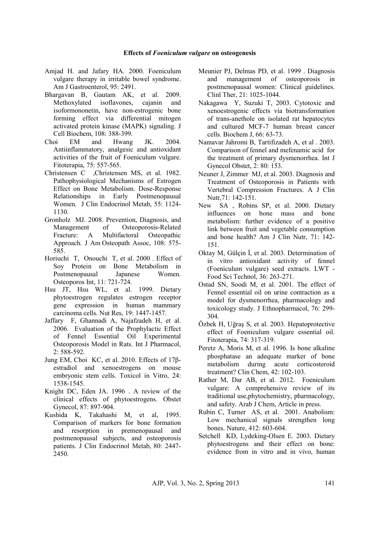- Amjad H. and Jafary HA. 2000. Foeniculum vulgare therapy in irritable bowel syndrome. Am J Gastroenterol, 95: 2491.
- Bhargavan B, Gautam AK, et al. 2009. Methoxylated isoflavones, cajanin and isoformononetin, have non-estrogenic bone forming effect via differential mitogen activated protein kinase (MAPK) signaling. J Cell Biochem, 108: 388-399.
- Choi EM and Hwang JK. 2004. Antiinflammatory, analgesic and antioxidant activities of the fruit of Foeniculum vulgare. Fitoterapia, 75: 557-565.
- Christensen C ,Christensen MS, et al. 1982. Pathophysiological Mechanisms of Estrogen Effect on Bone Metabolism. Dose-Response Relationships in Early Postmenopausal Women. J Clin Endocrinol Metab, 55: 1124- 1130.
- Gronholz MJ. 2008. Prevention, Diagnosis, and Management of Osteoporosis-Related Fracture: A Multifactoral Osteopathic Approach. J Am Osteopath Assoc, 108: 575- 585.
- Horiuchi T, Onouchi T, et al. 2000 . Effect of Soy Protein on Bone Metabolism in Postmenopausal Japanese Women. Osteoporos Int, 11: 721-724.
- Hsu JT, Hsu WL, et al. 1999. Dietary phytoestrogen regulates estrogen receptor gene expression in human mammary carcinoma cells. Nut Res, 19: 1447-1457.
- Jaffary F, Ghannadi A, Najafzadeh H, et al. 2006. Evaluation of the Prophylactic Effect of Fennel Essential Oil Experimental Osteoporosis Model in Rats. Int J Pharmacol, 2: 588-592.
- Jung EM, Choi KC, et al. 2010. Effects of 17βestradiol and xenoestrogens on mouse embryonic stem cells. Toxicol in Vitro, 24: 1538-1545.
- Knight DC, Eden JA. 1996 . A review of the clinical effects of phytoestrogens. Obstet Gynecol, 87: 897-904.
- Kushida K, Takahashi M, et al, 1995. Comparison of markers for bone formation and resorption in premenopausal and postmenopausal subjects, and osteoporosis patients. J Clin Endocrinol Metab, 80: 2447- 2450.
- Meunier PJ, Delmas PD, et al. 1999 . Diagnosis and management of osteoporosis in postmenopausal women: Clinical guidelines. Clinl Ther, 21: 1025-1044.
- Nakagawa Y, Suzuki T, 2003. Cytotoxic and xenoestrogenic effects via biotransformation of trans-anethole on isolated rat hepatocytes and cultured MCF-7 human breast cancer cells. Biochem J, 66: 63-73.
- Namavar Jahromi B, Tartifizadeh A, et al . 2003. Comparison of fennel and mefenamic acid for the treatment of primary dysmenorrhea. Int J Gynecol Obstet, 2: 80: 153.
- Neuner J, Zimmer MJ, et al. 2003. Diagnosis and Treatment of Osteoporosis in Patients with Vertebral Compression Fractures. A J Clin Nutr,71: 142-151.
- New SA , Robins SP, et al. 2000. Dietary influences on bone mass and bone metabolism: further evidence of a positive link between fruit and vegetable consumption and bone health? Am J Clin Nutr, 71: 142- 151.
- Oktay M, Gülçin İ, et al. 2003. Determination of in vitro antioxidant activity of fennel (Foeniculum vulgare) seed extracts. LWT - Food Sci Technol, 36: 263-271.
- Ostad SN, Soodi M, et al. 2001. The effect of Fennel essential oil on urine contraction as a model for dysmenorrhea, pharmacology and toxicology study. J Ethnopharmacol, 76: 299- 304.
- Özbek H, Uğraş S, et al. 2003. Hepatoprotective effect of Foeniculum vulgare essential oil. Fitoterapia, 74: 317-319.
- Peretz A, Moris M, et al. 1996. Is bone alkaline phosphatase an adequate marker of bone metabolism during acute corticosteroid treatment? Clin Chem, 42: 102-103.
- Rather M, Dar AB, et al. 2012. Foeniculum vulgare: A comprehensive review of its traditional use,phytochemistry, pharmacology, and safety. Arab J Chem, Article in press.
- Rubin C, Turner AS, et al. 2001. Anabolism: Low mechanical signals strengthen long bones. Nature, 412: 603-604.
- Setchell KD, Lydeking-Olsen E. 2003. Dietary phytoestrogens and their effect on bone: evidence from in vitro and in vivo, human

AJP, Vol. 3, No. 2, Spring 2013 141